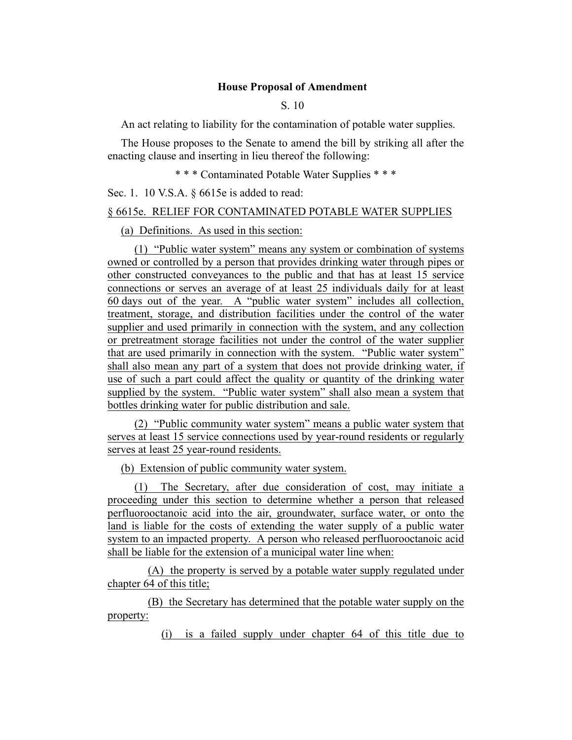## **House Proposal of Amendment**

# S. 10

An act relating to liability for the contamination of potable water supplies.

The House proposes to the Senate to amend the bill by striking all after the enacting clause and inserting in lieu thereof the following:

\* \* \* Contaminated Potable Water Supplies \* \* \*

## Sec. 1. 10 V.S.A. § 6615e is added to read:

#### § 6615e. RELIEF FOR CONTAMINATED POTABLE WATER SUPPLIES

### (a) Definitions. As used in this section:

(1) "Public water system" means any system or combination of systems owned or controlled by a person that provides drinking water through pipes or other constructed conveyances to the public and that has at least 15 service connections or serves an average of at least 25 individuals daily for at least 60 days out of the year. A "public water system" includes all collection, treatment, storage, and distribution facilities under the control of the water supplier and used primarily in connection with the system, and any collection or pretreatment storage facilities not under the control of the water supplier that are used primarily in connection with the system. "Public water system" shall also mean any part of a system that does not provide drinking water, if use of such a part could affect the quality or quantity of the drinking water supplied by the system. "Public water system" shall also mean a system that bottles drinking water for public distribution and sale.

(2) "Public community water system" means a public water system that serves at least 15 service connections used by year-round residents or regularly serves at least 25 year-round residents.

(b) Extension of public community water system.

(1) The Secretary, after due consideration of cost, may initiate a proceeding under this section to determine whether a person that released perfluorooctanoic acid into the air, groundwater, surface water, or onto the land is liable for the costs of extending the water supply of a public water system to an impacted property. A person who released perfluorooctanoic acid shall be liable for the extension of a municipal water line when:

(A) the property is served by a potable water supply regulated under chapter 64 of this title;

(B) the Secretary has determined that the potable water supply on the property:

(i) is a failed supply under chapter 64 of this title due to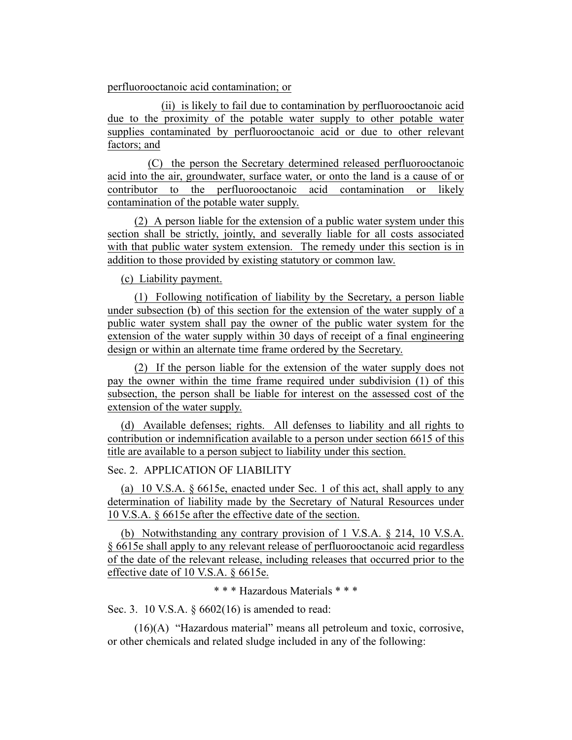perfluorooctanoic acid contamination; or

(ii) is likely to fail due to contamination by perfluorooctanoic acid due to the proximity of the potable water supply to other potable water supplies contaminated by perfluorooctanoic acid or due to other relevant factors; and

(C) the person the Secretary determined released perfluorooctanoic acid into the air, groundwater, surface water, or onto the land is a cause of or contributor to the perfluorooctanoic acid contamination or likely contamination of the potable water supply.

(2) A person liable for the extension of a public water system under this section shall be strictly, jointly, and severally liable for all costs associated with that public water system extension. The remedy under this section is in addition to those provided by existing statutory or common law.

(c) Liability payment.

(1) Following notification of liability by the Secretary, a person liable under subsection (b) of this section for the extension of the water supply of a public water system shall pay the owner of the public water system for the extension of the water supply within 30 days of receipt of a final engineering design or within an alternate time frame ordered by the Secretary.

(2) If the person liable for the extension of the water supply does not pay the owner within the time frame required under subdivision (1) of this subsection, the person shall be liable for interest on the assessed cost of the extension of the water supply.

(d) Available defenses; rights. All defenses to liability and all rights to contribution or indemnification available to a person under section 6615 of this title are available to a person subject to liability under this section.

Sec. 2. APPLICATION OF LIABILITY

(a) 10 V.S.A. § 6615e, enacted under Sec. 1 of this act, shall apply to any determination of liability made by the Secretary of Natural Resources under 10 V.S.A. § 6615e after the effective date of the section.

(b) Notwithstanding any contrary provision of 1 V.S.A. § 214, 10 V.S.A. § 6615e shall apply to any relevant release of perfluorooctanoic acid regardless of the date of the relevant release, including releases that occurred prior to the effective date of 10 V.S.A. § 6615e.

\* \* \* Hazardous Materials \* \* \*

Sec. 3. 10 V.S.A. § 6602(16) is amended to read:

(16)(A) "Hazardous material" means all petroleum and toxic, corrosive, or other chemicals and related sludge included in any of the following: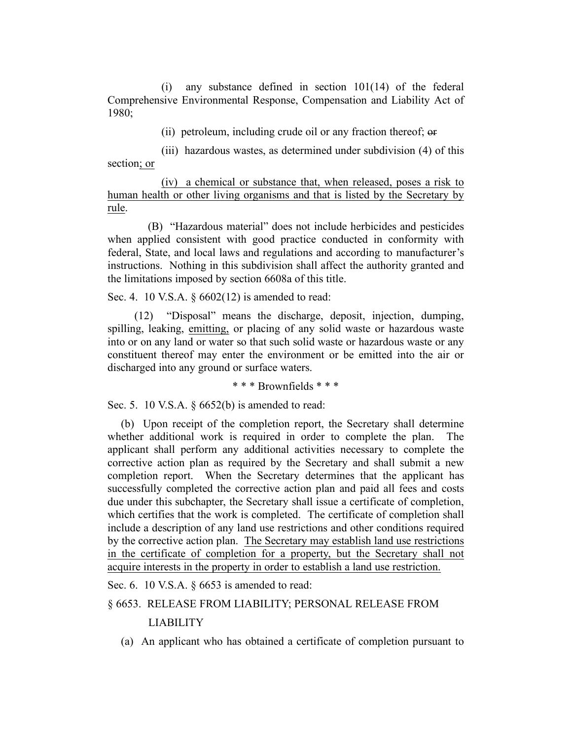(i) any substance defined in section 101(14) of the federal Comprehensive Environmental Response, Compensation and Liability Act of 1980;

(ii) petroleum, including crude oil or any fraction thereof; or

(iii) hazardous wastes, as determined under subdivision (4) of this section; or

(iv) a chemical or substance that, when released, poses a risk to human health or other living organisms and that is listed by the Secretary by rule.

(B) "Hazardous material" does not include herbicides and pesticides when applied consistent with good practice conducted in conformity with federal, State, and local laws and regulations and according to manufacturer's instructions. Nothing in this subdivision shall affect the authority granted and the limitations imposed by section 6608a of this title.

Sec. 4. 10 V.S.A. § 6602(12) is amended to read:

(12) "Disposal" means the discharge, deposit, injection, dumping, spilling, leaking, emitting, or placing of any solid waste or hazardous waste into or on any land or water so that such solid waste or hazardous waste or any constituent thereof may enter the environment or be emitted into the air or discharged into any ground or surface waters.

\* \* \* Brownfields \* \* \*

Sec. 5. 10 V.S.A. § 6652(b) is amended to read:

(b) Upon receipt of the completion report, the Secretary shall determine whether additional work is required in order to complete the plan. The applicant shall perform any additional activities necessary to complete the corrective action plan as required by the Secretary and shall submit a new completion report. When the Secretary determines that the applicant has successfully completed the corrective action plan and paid all fees and costs due under this subchapter, the Secretary shall issue a certificate of completion, which certifies that the work is completed. The certificate of completion shall include a description of any land use restrictions and other conditions required by the corrective action plan. The Secretary may establish land use restrictions in the certificate of completion for a property, but the Secretary shall not acquire interests in the property in order to establish a land use restriction.

Sec. 6. 10 V.S.A. § 6653 is amended to read:

# § 6653. RELEASE FROM LIABILITY; PERSONAL RELEASE FROM LIABILITY

(a) An applicant who has obtained a certificate of completion pursuant to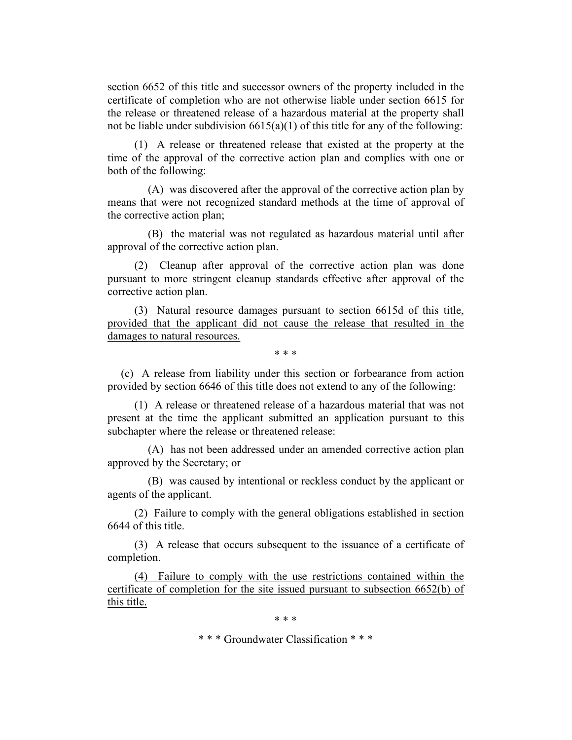section 6652 of this title and successor owners of the property included in the certificate of completion who are not otherwise liable under section 6615 for the release or threatened release of a hazardous material at the property shall not be liable under subdivision  $6615(a)(1)$  of this title for any of the following:

(1) A release or threatened release that existed at the property at the time of the approval of the corrective action plan and complies with one or both of the following:

(A) was discovered after the approval of the corrective action plan by means that were not recognized standard methods at the time of approval of the corrective action plan;

(B) the material was not regulated as hazardous material until after approval of the corrective action plan.

(2) Cleanup after approval of the corrective action plan was done pursuant to more stringent cleanup standards effective after approval of the corrective action plan.

(3) Natural resource damages pursuant to section 6615d of this title, provided that the applicant did not cause the release that resulted in the damages to natural resources.

\* \* \*

(c) A release from liability under this section or forbearance from action provided by section 6646 of this title does not extend to any of the following:

(1) A release or threatened release of a hazardous material that was not present at the time the applicant submitted an application pursuant to this subchapter where the release or threatened release:

(A) has not been addressed under an amended corrective action plan approved by the Secretary; or

(B) was caused by intentional or reckless conduct by the applicant or agents of the applicant.

(2) Failure to comply with the general obligations established in section 6644 of this title.

(3) A release that occurs subsequent to the issuance of a certificate of completion.

(4) Failure to comply with the use restrictions contained within the certificate of completion for the site issued pursuant to subsection 6652(b) of this title.

\* \* \*

\* \* \* Groundwater Classification \* \* \*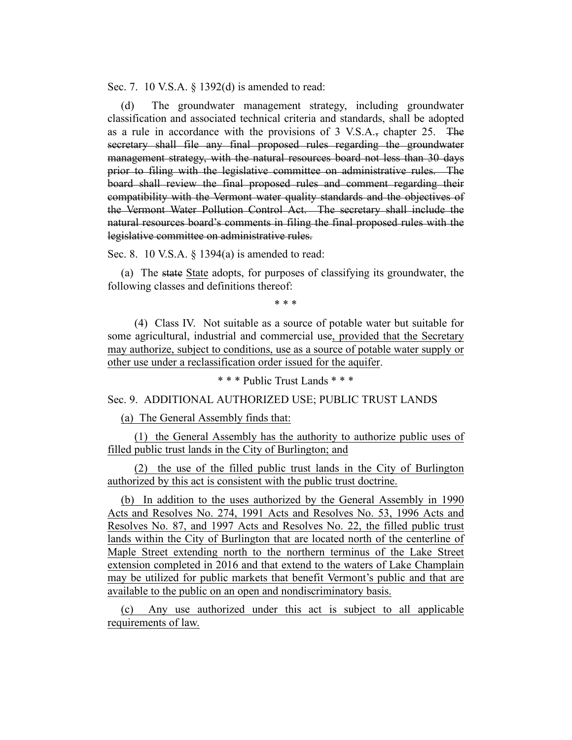Sec. 7. 10 V.S.A. § 1392(d) is amended to read:

(d) The groundwater management strategy, including groundwater classification and associated technical criteria and standards, shall be adopted as a rule in accordance with the provisions of 3 V.S.A., chapter 25. The secretary shall file any final proposed rules regarding the groundwater management strategy, with the natural resources board not less than 30 days prior to filing with the legislative committee on administrative rules. The board shall review the final proposed rules and comment regarding their compatibility with the Vermont water quality standards and the objectives of the Vermont Water Pollution Control Act. The secretary shall include the natural resources board's comments in filing the final proposed rules with the legislative committee on administrative rules.

Sec. 8. 10 V.S.A. § 1394(a) is amended to read:

(a) The state State adopts, for purposes of classifying its groundwater, the following classes and definitions thereof:

\* \* \*

(4) Class IV. Not suitable as a source of potable water but suitable for some agricultural, industrial and commercial use, provided that the Secretary may authorize, subject to conditions, use as a source of potable water supply or other use under a reclassification order issued for the aquifer.

\* \* \* Public Trust Lands \* \* \*

Sec. 9. ADDITIONAL AUTHORIZED USE; PUBLIC TRUST LANDS

(a) The General Assembly finds that:

(1) the General Assembly has the authority to authorize public uses of filled public trust lands in the City of Burlington; and

(2) the use of the filled public trust lands in the City of Burlington authorized by this act is consistent with the public trust doctrine.

(b) In addition to the uses authorized by the General Assembly in 1990 Acts and Resolves No. 274, 1991 Acts and Resolves No. 53, 1996 Acts and Resolves No. 87, and 1997 Acts and Resolves No. 22, the filled public trust lands within the City of Burlington that are located north of the centerline of Maple Street extending north to the northern terminus of the Lake Street extension completed in 2016 and that extend to the waters of Lake Champlain may be utilized for public markets that benefit Vermont's public and that are available to the public on an open and nondiscriminatory basis.

(c) Any use authorized under this act is subject to all applicable requirements of law.